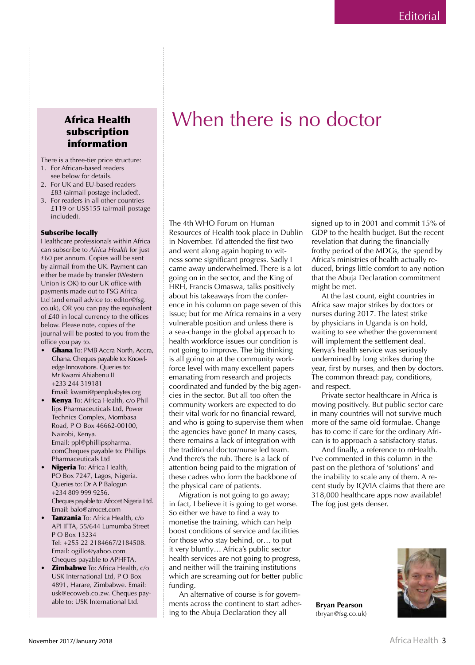## Africa Health subscription information

There is a three-tier price structure: 1. For African-based readers

- see below for details.
- 2. For UK and EU-based readers £83 (airmail postage included).
- 3. For readers in all other countries £119 or US\$155 (airmail postage included).

## Subscribe locally

Healthcare professionals within Africa can subscribe to *Africa Health* for just £60 per annum. Copies will be sent by airmail from the UK. Payment can either be made by transfer (Western Union is OK) to our UK office with payments made out to FSG Africa Ltd (and email advice to: editor@fsg. co.uk), OR you can pay the equivalent of £40 in local currency to the offices below. Please note, copies of the journal will be posted to you from the office you pay to.

- Ghana To: PMB Accra North, Accra, Ghana. Cheques payable to: Knowledge Innovations. Queries to: Mr Kwami Ahiabenu II +233 244 319181 Email: kwami@penplusbytes.org
- Kenya To: Africa Health, c/o Phillips Pharmaceuticals Ltd, Power Technics Complex, Mombasa Road, P O Box 46662-00100, Nairobi, Kenya. Email: ppl@phillipspharma. comCheques payable to: Phillips Pharmaceuticals Ltd
- Nigeria To: Africa Health, PO Box 7247, Lagos, Nigeria. Queries to: Dr A P Balogun +234 809 999 9256. Cheques payable to: Afrocet Nigeria Ltd. Email: balo@afrocet.com
- Tanzania To: Africa Health, c/o APHFTA, 55/644 Lumumba Street P O Box 13234 Tel: +255 22 2184667/2184508. Email: ogillo@yahoo.com. Cheques payable to APHFTA.
- **Zimbabwe** To: Africa Health, c/o USK International Ltd, P O Box 4891, Harare, Zimbabwe. Email: usk@ecoweb.co.zw. Cheques payable to: USK International Ltd.

The 4th WHO Forum on Human Resources of Health took place in Dublin in November. I'd attended the first two and went along again hoping to witness some significant progress. Sadly 1 came away underwhelmed. There is a lot going on in the sector, and the King of HRH, Francis Omaswa, talks positively about his takeaways from the conference in his column on page seven of this issue; but for me Africa remains in a very vulnerable position and unless there is a sea-change in the global approach to health workforce issues our condition is not going to improve. The big thinking is all going on at the community workforce level with many excellent papers emanating from research and projects coordinated and funded by the big agencies in the sector. But all too often the community workers are expected to do their vital work for no financial reward, and who is going to supervise them when the agencies have gone? In many cases, there remains a lack of integration with the traditional doctor/nurse led team. And there's the rub. There is a lack of attention being paid to the migration of these cadres who form the backbone of the physical care of patients.

When there is no doctor

Migration is not going to go away; in fact, I believe it is going to get worse. So either we have to find a way to monetise the training, which can help boost conditions of service and facilities for those who stay behind, or... to put it very bluntly... Africa's public sector health services are not going to progress, and neither will the training institutions which are screaming out for better public funding.

An alternative of course is for governments across the continent to start adhering to the Abuja Declaration they all

signed up to in 2001 and commit 15% of GDP to the health budget. But the recent revelation that during the financially frothy period of the MDGs, the spend by Africa's ministries of health actually reduced, brings little comfort to any notion that the Abuja Declaration commitment might be met.

At the last count, eight countries in Africa saw major strikes by doctors or nurses during 2017. The latest strike by physicians in Uganda is on hold, waiting to see whether the government will implement the settlement deal. Kenya's health service was seriously undermined by long strikes during the year, first by nurses, and then by doctors. The common thread: pay, conditions, and respect.

Private sector healthcare in Africa is moving positively. But public sector care in many countries will not survive much more of the same old formulae. Change has to come if care for the ordinary African is to approach a satisfactory status.

And finally, a reference to mHealth. I've commented in this column in the past on the plethora of 'solutions' and the inability to scale any of them. A recent study by IQVIA claims that there are 318,000 healthcare apps now available! The fog just gets denser.

**Bryan Pearson** (bryan@fsg.co.uk)